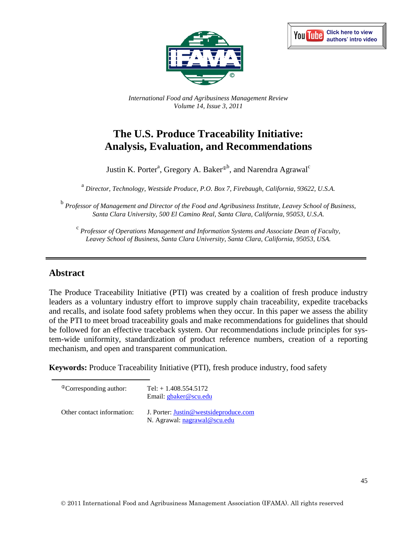



*International Food and Agribusiness Management Review Volume 14, Issue 3, 2011*

# **The U.S. Produce Traceability Initiative: Analysis, Evaluation, and Recommendations**

Justin K. Porter<sup>a</sup>, Gregory A. Baker®<sup>b</sup>, and Narendra Agrawal<sup>c</sup>

<sup>a</sup> *Director, Technology, Westside Produce, P.O. Box 7, Firebaugh, California, 93622, U.S.A.*

<sup>b</sup> *Professor of Management and Director of the Food and Agribusiness Institute, Leavey School of Business, Santa Clara University, 500 El Camino Real, Santa Clara, California, 95053, U.S.A.*

<sup>c</sup> *Professor of Operations Management and Information Systems and Associate Dean of Faculty, Leavey School of Business, Santa Clara University, Santa Clara, California, 95053, USA.*

## **Abstract**

The Produce Traceability Initiative (PTI) was created by a coalition of fresh produce industry leaders as a voluntary industry effort to improve supply chain traceability, expedite tracebacks and recalls, and isolate food safety problems when they occur. In this paper we assess the ability of the PTI to meet broad traceability goals and make recommendations for guidelines that should be followed for an effective traceback system. Our recommendations include principles for system-wide uniformity, standardization of product reference numbers, creation of a reporting mechanism, and open and transparent communication.

**Keywords:** Produce Traceability Initiative (PTI), fresh produce industry, food safety

| <sup>®</sup> Corresponding author: | Tel: $+1.408.554.5172$<br>Email: gbaker@scu.edu                       |
|------------------------------------|-----------------------------------------------------------------------|
| Other contact information:         | J. Porter: Justin@westsideproduce.com<br>N. Agrawal: nagrawal@scu.edu |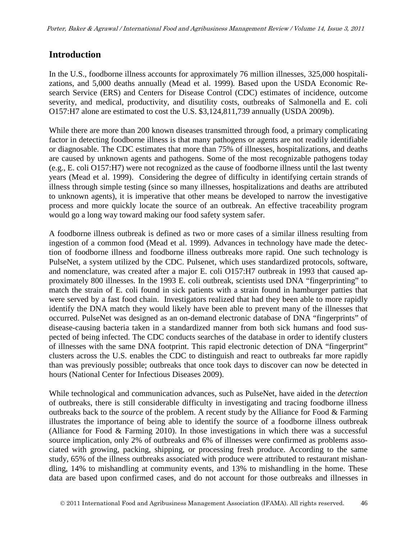## **Introduction**

In the U.S., foodborne illness accounts for approximately 76 million illnesses, 325,000 hospitalizations, and 5,000 deaths annually (Mead et al. 1999)*.* Based upon the USDA Economic Research Service (ERS) and Centers for Disease Control (CDC) estimates of incidence, outcome severity, and medical, productivity, and disutility costs, outbreaks of Salmonella and E. coli O157:H7 alone are estimated to cost the U.S. \$3,124,811,739 annually (USDA 2009b).

While there are more than 200 known diseases transmitted through food, a primary complicating factor in detecting foodborne illness is that many pathogens or agents are not readily identifiable or diagnosable. The CDC estimates that more than 75% of illnesses, hospitalizations, and deaths are caused by unknown agents and pathogens. Some of the most recognizable pathogens today (e.g., E. coli O157:H7) were not recognized as the cause of foodborne illness until the last twenty years (Mead et al. 1999). Considering the degree of difficulty in identifying certain strands of illness through simple testing (since so many illnesses, hospitalizations and deaths are attributed to unknown agents), it is imperative that other means be developed to narrow the investigative process and more quickly locate the source of an outbreak. An effective traceability program would go a long way toward making our food safety system safer.

A foodborne illness outbreak is defined as two or more cases of a similar illness resulting from ingestion of a common food (Mead et al. 1999). Advances in technology have made the detection of foodborne illness and foodborne illness outbreaks more rapid. One such technology is PulseNet, a system utilized by the CDC. Pulsenet, which uses standardized protocols, software, and nomenclature, was created after a major E. coli O157:H7 outbreak in 1993 that caused approximately 800 illnesses. In the 1993 E. coli outbreak, scientists used DNA "fingerprinting" to match the strain of E. coli found in sick patients with a strain found in hamburger patties that were served by a fast food chain. Investigators realized that had they been able to more rapidly identify the DNA match they would likely have been able to prevent many of the illnesses that occurred. PulseNet was designed as an on-demand electronic database of DNA "fingerprints" of disease-causing bacteria taken in a standardized manner from both sick humans and food suspected of being infected. The CDC conducts searches of the database in order to identify clusters of illnesses with the same DNA footprint. This rapid electronic detection of DNA "fingerprint" clusters across the U.S. enables the CDC to distinguish and react to outbreaks far more rapidly than was previously possible; outbreaks that once took days to discover can now be detected in hours (National Center for Infectious Diseases 2009).

While technological and communication advances, such as PulseNet, have aided in the *detection* of outbreaks, there is still considerable difficulty in investigating and tracing foodborne illness outbreaks back to the *source* of the problem. A recent study by the Alliance for Food & Farming illustrates the importance of being able to identify the source of a foodborne illness outbreak (Alliance for Food & Farming 2010). In those investigations in which there was a successful source implication, only 2% of outbreaks and 6% of illnesses were confirmed as problems associated with growing, packing, shipping, or processing fresh produce. According to the same study, 65% of the illness outbreaks associated with produce were attributed to restaurant mishandling, 14% to mishandling at community events, and 13% to mishandling in the home. These data are based upon confirmed cases, and do not account for those outbreaks and illnesses in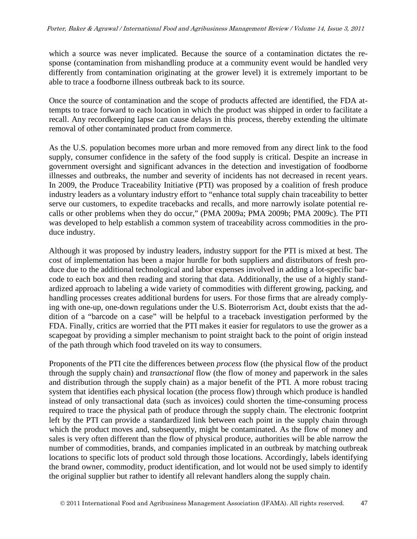which a source was never implicated. Because the source of a contamination dictates the response (contamination from mishandling produce at a community event would be handled very differently from contamination originating at the grower level) it is extremely important to be able to trace a foodborne illness outbreak back to its source.

Once the source of contamination and the scope of products affected are identified, the FDA attempts to trace forward to each location in which the product was shipped in order to facilitate a recall. Any recordkeeping lapse can cause delays in this process, thereby extending the ultimate removal of other contaminated product from commerce.

As the U.S. population becomes more urban and more removed from any direct link to the food supply, consumer confidence in the safety of the food supply is critical. Despite an increase in government oversight and significant advances in the detection and investigation of foodborne illnesses and outbreaks, the number and severity of incidents has not decreased in recent years. In 2009, the Produce Traceability Initiative (PTI) was proposed by a coalition of fresh produce industry leaders as a voluntary industry effort to "enhance total supply chain traceability to better serve our customers, to expedite tracebacks and recalls, and more narrowly isolate potential recalls or other problems when they do occur," (PMA 2009a; PMA 2009b; PMA 2009c). The PTI was developed to help establish a common system of traceability across commodities in the produce industry.

Although it was proposed by industry leaders, industry support for the PTI is mixed at best. The cost of implementation has been a major hurdle for both suppliers and distributors of fresh produce due to the additional technological and labor expenses involved in adding a lot-specific barcode to each box and then reading and storing that data. Additionally, the use of a highly standardized approach to labeling a wide variety of commodities with different growing, packing, and handling processes creates additional burdens for users. For those firms that are already complying with one-up, one-down regulations under the U.S. Bioterrorism Act, doubt exists that the addition of a "barcode on a case" will be helpful to a traceback investigation performed by the FDA. Finally, critics are worried that the PTI makes it easier for regulators to use the grower as a scapegoat by providing a simpler mechanism to point straight back to the point of origin instead of the path through which food traveled on its way to consumers.

Proponents of the PTI cite the differences between *process* flow (the physical flow of the product through the supply chain) and *transactional* flow (the flow of money and paperwork in the sales and distribution through the supply chain) as a major benefit of the PTI. A more robust tracing system that identifies each physical location (the process flow) through which produce is handled instead of only transactional data (such as invoices) could shorten the time-consuming process required to trace the physical path of produce through the supply chain. The electronic footprint left by the PTI can provide a standardized link between each point in the supply chain through which the product moves and, subsequently, might be contaminated. As the flow of money and sales is very often different than the flow of physical produce, authorities will be able narrow the number of commodities, brands, and companies implicated in an outbreak by matching outbreak locations to specific lots of product sold through those locations. Accordingly, labels identifying the brand owner, commodity, product identification, and lot would not be used simply to identify the original supplier but rather to identify all relevant handlers along the supply chain.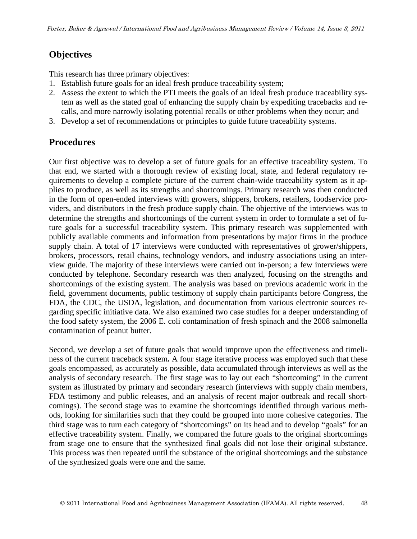## **Objectives**

This research has three primary objectives:

- 1. Establish future goals for an ideal fresh produce traceability system;
- 2. Assess the extent to which the PTI meets the goals of an ideal fresh produce traceability system as well as the stated goal of enhancing the supply chain by expediting tracebacks and recalls, and more narrowly isolating potential recalls or other problems when they occur; and
- 3. Develop a set of recommendations or principles to guide future traceability systems.

## **Procedures**

Our first objective was to develop a set of future goals for an effective traceability system. To that end, we started with a thorough review of existing local, state, and federal regulatory requirements to develop a complete picture of the current chain-wide traceability system as it applies to produce, as well as its strengths and shortcomings. Primary research was then conducted in the form of open-ended interviews with growers, shippers, brokers, retailers, foodservice providers, and distributors in the fresh produce supply chain. The objective of the interviews was to determine the strengths and shortcomings of the current system in order to formulate a set of future goals for a successful traceability system. This primary research was supplemented with publicly available comments and information from presentations by major firms in the produce supply chain. A total of 17 interviews were conducted with representatives of grower/shippers, brokers, processors, retail chains, technology vendors, and industry associations using an interview guide. The majority of these interviews were carried out in-person; a few interviews were conducted by telephone. Secondary research was then analyzed, focusing on the strengths and shortcomings of the existing system. The analysis was based on previous academic work in the field, government documents, public testimony of supply chain participants before Congress, the FDA, the CDC, the USDA, legislation, and documentation from various electronic sources regarding specific initiative data. We also examined two case studies for a deeper understanding of the food safety system, the 2006 E. coli contamination of fresh spinach and the 2008 salmonella contamination of peanut butter.

Second, we develop a set of future goals that would improve upon the effectiveness and timeliness of the current traceback system**.** A four stage iterative process was employed such that these goals encompassed, as accurately as possible, data accumulated through interviews as well as the analysis of secondary research. The first stage was to lay out each "shortcoming" in the current system as illustrated by primary and secondary research (interviews with supply chain members, FDA testimony and public releases, and an analysis of recent major outbreak and recall shortcomings). The second stage was to examine the shortcomings identified through various methods, looking for similarities such that they could be grouped into more cohesive categories. The third stage was to turn each category of "shortcomings" on its head and to develop "goals" for an effective traceability system. Finally, we compared the future goals to the original shortcomings from stage one to ensure that the synthesized final goals did not lose their original substance. This process was then repeated until the substance of the original shortcomings and the substance of the synthesized goals were one and the same.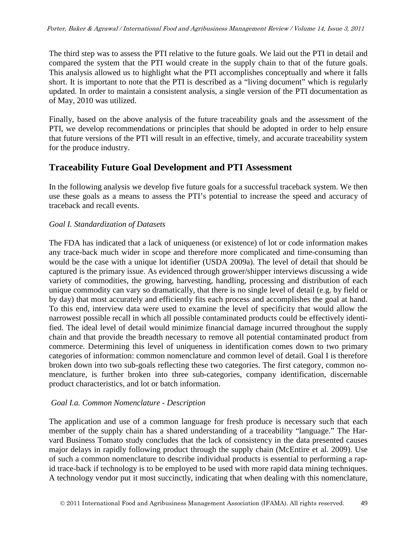The third step was to assess the PTI relative to the future goals. We laid out the PTI in detail and compared the system that the PTI would create in the supply chain to that of the future goals. This analysis allowed us to highlight what the PTI accomplishes conceptually and where it falls short. It is important to note that the PTI is described as a "living document" which is regularly updated. In order to maintain a consistent analysis, a single version of the PTI documentation as of May, 2010 was utilized.

Finally, based on the above analysis of the future traceability goals and the assessment of the PTI, we develop recommendations or principles that should be adopted in order to help ensure that future versions of the PTI will result in an effective, timely, and accurate traceability system for the produce industry.

## **Traceability Future Goal Development and PTI Assessment**

In the following analysis we develop five future goals for a successful traceback system. We then use these goals as a means to assess the PTI's potential to increase the speed and accuracy of traceback and recall events.

### *Goal I. Standardization of Datasets*

The FDA has indicated that a lack of uniqueness (or existence) of lot or code information makes any trace-back much wider in scope and therefore more complicated and time-consuming than would be the case with a unique lot identifier (USDA 2009a). The level of detail that should be captured is the primary issue. As evidenced through grower/shipper interviews discussing a wide variety of commodities, the growing, harvesting, handling, processing and distribution of each unique commodity can vary so dramatically, that there is no single level of detail (e.g. by field or by day) that most accurately and efficiently fits each process and accomplishes the goal at hand. To this end, interview data were used to examine the level of specificity that would allow the narrowest possible recall in which all possible contaminated products could be effectively identified. The ideal level of detail would minimize financial damage incurred throughout the supply chain and that provide the breadth necessary to remove all potential contaminated product from commerce. Determining this level of uniqueness in identification comes down to two primary categories of information: common nomenclature and common level of detail. Goal I is therefore broken down into two sub-goals reflecting these two categories. The first category, common nomenclature, is further broken into three sub-categories, company identification, discernable product characteristics, and lot or batch information.

## *Goal I.a. Common Nomenclature - Description*

The application and use of a common language for fresh produce is necessary such that each member of the supply chain has a shared understanding of a traceability "language." The Harvard Business Tomato study concludes that the lack of consistency in the data presented causes major delays in rapidly following product through the supply chain (McEntire et al. 2009). Use of such a common nomenclature to describe individual products is essential to performing a rapid trace-back if technology is to be employed to be used with more rapid data mining techniques. A technology vendor put it most succinctly, indicating that when dealing with this nomenclature,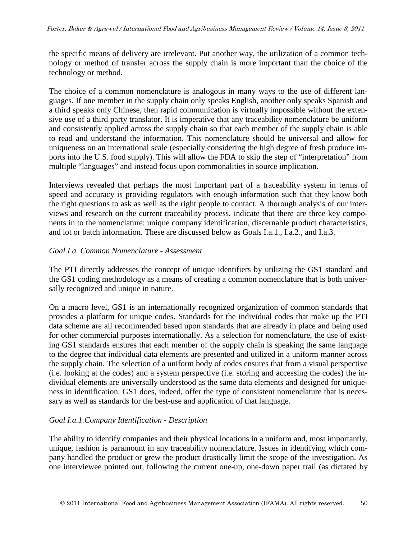the specific means of delivery are irrelevant. Put another way, the utilization of a common technology or method of transfer across the supply chain is more important than the choice of the technology or method.

The choice of a common nomenclature is analogous in many ways to the use of different languages. If one member in the supply chain only speaks English, another only speaks Spanish and a third speaks only Chinese, then rapid communication is virtually impossible without the extensive use of a third party translator. It is imperative that any traceability nomenclature be uniform and consistently applied across the supply chain so that each member of the supply chain is able to read and understand the information. This nomenclature should be universal and allow for uniqueness on an international scale (especially considering the high degree of fresh produce imports into the U.S. food supply). This will allow the FDA to skip the step of "interpretation" from multiple "languages" and instead focus upon commonalities in source implication.

Interviews revealed that perhaps the most important part of a traceability system in terms of speed and accuracy is providing regulators with enough information such that they know both the right questions to ask as well as the right people to contact. A thorough analysis of our interviews and research on the current traceability process, indicate that there are three key components in to the nomenclature: unique company identification, discernable product characteristics, and lot or batch information. These are discussed below as Goals I.a.1., I.a.2., and I.a.3.

### *Goal I.a. Common Nomenclature - Assessment*

The PTI directly addresses the concept of unique identifiers by utilizing the GS1 standard and the GS1 coding methodology as a means of creating a common nomenclature that is both universally recognized and unique in nature.

On a macro level, GS1 is an internationally recognized organization of common standards that provides a platform for unique codes. Standards for the individual codes that make up the PTI data scheme are all recommended based upon standards that are already in place and being used for other commercial purposes internationally. As a selection for nomenclature, the use of existing GS1 standards ensures that each member of the supply chain is speaking the same language to the degree that individual data elements are presented and utilized in a uniform manner across the supply chain. The selection of a uniform body of codes ensures that from a visual perspective (i.e. looking at the codes) and a system perspective (i.e. storing and accessing the codes) the individual elements are universally understood as the same data elements and designed for uniqueness in identification. GS1 does, indeed, offer the type of consistent nomenclature that is necessary as well as standards for the best-use and application of that language.

## *Goal I.a.1.Company Identification - Description*

The ability to identify companies and their physical locations in a uniform and, most importantly, unique*,* fashion is paramount in any traceability nomenclature. Issues in identifying which company handled the product or grew the product drastically limit the scope of the investigation. As one interviewee pointed out, following the current one-up, one-down paper trail (as dictated by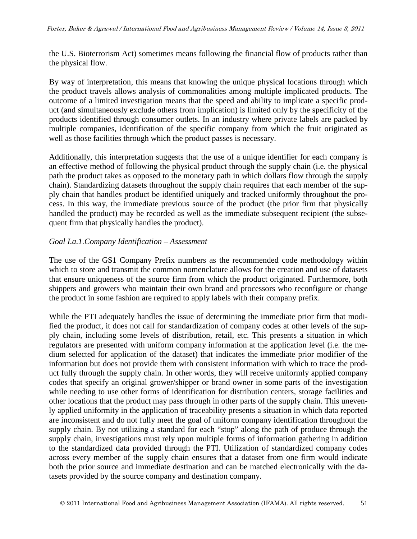the U.S. Bioterrorism Act) sometimes means following the financial flow of products rather than the physical flow.

By way of interpretation, this means that knowing the unique physical locations through which the product travels allows analysis of commonalities among multiple implicated products. The outcome of a limited investigation means that the speed and ability to implicate a specific product (and simultaneously exclude others from implication) is limited only by the specificity of the products identified through consumer outlets. In an industry where private labels are packed by multiple companies, identification of the specific company from which the fruit originated as well as those facilities through which the product passes is necessary.

Additionally, this interpretation suggests that the use of a unique identifier for each company is an effective method of following the physical product through the supply chain (i.e. the physical path the product takes as opposed to the monetary path in which dollars flow through the supply chain). Standardizing datasets throughout the supply chain requires that each member of the supply chain that handles product be identified uniquely and tracked uniformly throughout the process. In this way, the immediate previous source of the product (the prior firm that physically handled the product) may be recorded as well as the immediate subsequent recipient (the subsequent firm that physically handles the product).

### *Goal I.a.1.Company Identification – Assessment*

The use of the GS1 Company Prefix numbers as the recommended code methodology within which to store and transmit the common nomenclature allows for the creation and use of datasets that ensure uniqueness of the source firm from which the product originated. Furthermore, both shippers and growers who maintain their own brand and processors who reconfigure or change the product in some fashion are required to apply labels with their company prefix.

While the PTI adequately handles the issue of determining the immediate prior firm that modified the product, it does not call for standardization of company codes at other levels of the supply chain, including some levels of distribution, retail, etc. This presents a situation in which regulators are presented with uniform company information at the application level (i.e. the medium selected for application of the dataset) that indicates the immediate prior modifier of the information but does not provide them with consistent information with which to trace the product fully through the supply chain. In other words, they will receive uniformly applied company codes that specify an original grower/shipper or brand owner in some parts of the investigation while needing to use other forms of identification for distribution centers, storage facilities and other locations that the product may pass through in other parts of the supply chain. This unevenly applied uniformity in the application of traceability presents a situation in which data reported are inconsistent and do not fully meet the goal of uniform company identification throughout the supply chain. By not utilizing a standard for each "stop" along the path of produce through the supply chain, investigations must rely upon multiple forms of information gathering in addition to the standardized data provided through the PTI. Utilization of standardized company codes across every member of the supply chain ensures that a dataset from one firm would indicate both the prior source and immediate destination and can be matched electronically with the datasets provided by the source company and destination company.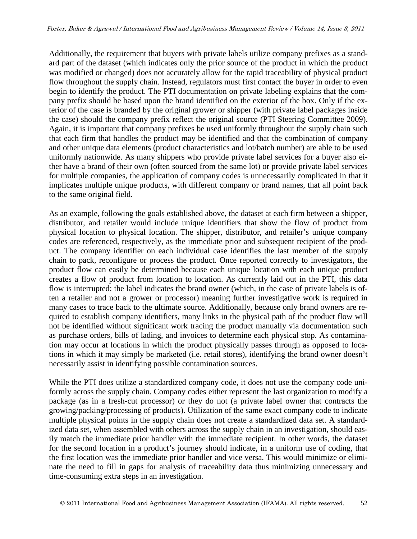Additionally, the requirement that buyers with private labels utilize company prefixes as a standard part of the dataset (which indicates only the prior source of the product in which the product was modified or changed) does not accurately allow for the rapid traceability of physical product flow throughout the supply chain. Instead, regulators must first contact the buyer in order to even begin to identify the product. The PTI documentation on private labeling explains that the company prefix should be based upon the brand identified on the exterior of the box. Only if the exterior of the case is branded by the original grower or shipper (with private label packages inside the case) should the company prefix reflect the original source (PTI Steering Committee 2009). Again, it is important that company prefixes be used uniformly throughout the supply chain such that each firm that handles the product may be identified and that the combination of company and other unique data elements (product characteristics and lot/batch number) are able to be used uniformly nationwide. As many shippers who provide private label services for a buyer also either have a brand of their own (often sourced from the same lot) or provide private label services for multiple companies, the application of company codes is unnecessarily complicated in that it implicates multiple unique products, with different company or brand names, that all point back to the same original field.

As an example, following the goals established above, the dataset at each firm between a shipper, distributor, and retailer would include unique identifiers that show the flow of product from physical location to physical location. The shipper, distributor, and retailer's unique company codes are referenced, respectively, as the immediate prior and subsequent recipient of the product. The company identifier on each individual case identifies the last member of the supply chain to pack, reconfigure or process the product. Once reported correctly to investigators, the product flow can easily be determined because each unique location with each unique product creates a flow of product from location to location. As currently laid out in the PTI, this data flow is interrupted; the label indicates the brand owner (which, in the case of private labels is often a retailer and not a grower or processor) meaning further investigative work is required in many cases to trace back to the ultimate source. Additionally, because only brand owners are required to establish company identifiers, many links in the physical path of the product flow will not be identified without significant work tracing the product manually via documentation such as purchase orders, bills of lading, and invoices to determine each physical stop. As contamination may occur at locations in which the product physically passes through as opposed to locations in which it may simply be marketed (i.e. retail stores), identifying the brand owner doesn't necessarily assist in identifying possible contamination sources.

While the PTI does utilize a standardized company code, it does not use the company code uniformly across the supply chain. Company codes either represent the last organization to modify a package (as in a fresh-cut processor) or they do not (a private label owner that contracts the growing/packing/processing of products). Utilization of the same exact company code to indicate multiple physical points in the supply chain does not create a standardized data set. A standardized data set, when assembled with others across the supply chain in an investigation, should easily match the immediate prior handler with the immediate recipient. In other words, the dataset for the second location in a product's journey should indicate, in a uniform use of coding, that the first location was the immediate prior handler and vice versa. This would minimize or eliminate the need to fill in gaps for analysis of traceability data thus minimizing unnecessary and time-consuming extra steps in an investigation.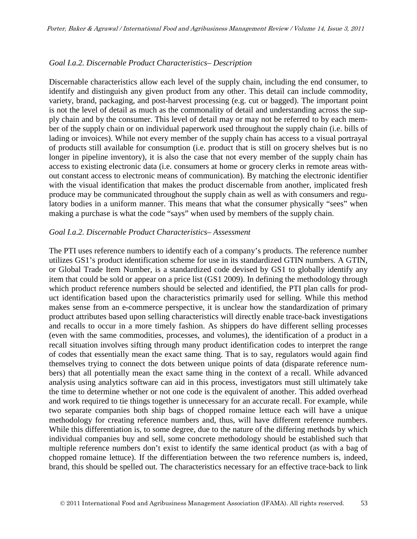### *Goal I.a.2. Discernable Product Characteristics– Description*

Discernable characteristics allow each level of the supply chain, including the end consumer, to identify and distinguish any given product from any other. This detail can include commodity, variety, brand, packaging, and post-harvest processing (e.g. cut or bagged). The important point is not the level of detail as much as the commonality of detail and understanding across the supply chain and by the consumer. This level of detail may or may not be referred to by each member of the supply chain or on individual paperwork used throughout the supply chain (i.e. bills of lading or invoices). While not every member of the supply chain has access to a visual portrayal of products still available for consumption (i.e. product that is still on grocery shelves but is no longer in pipeline inventory), it is also the case that not every member of the supply chain has access to existing electronic data (i.e. consumers at home or grocery clerks in remote areas without constant access to electronic means of communication). By matching the electronic identifier with the visual identification that makes the product discernable from another, implicated fresh produce may be communicated throughout the supply chain as well as with consumers and regulatory bodies in a uniform manner. This means that what the consumer physically "sees" when making a purchase is what the code "says" when used by members of the supply chain.

#### *Goal I.a.2. Discernable Product Characteristics– Assessment*

The PTI uses reference numbers to identify each of a company's products. The reference number utilizes GS1's product identification scheme for use in its standardized GTIN numbers. A GTIN, or Global Trade Item Number, is a standardized code devised by GS1 to globally identify any item that could be sold or appear on a price list (GS1 2009). In defining the methodology through which product reference numbers should be selected and identified, the PTI plan calls for product identification based upon the characteristics primarily used for selling. While this method makes sense from an e-commerce perspective, it is unclear how the standardization of primary product attributes based upon selling characteristics will directly enable trace-back investigations and recalls to occur in a more timely fashion. As shippers do have different selling processes (even with the same commodities, processes, and volumes), the identification of a product in a recall situation involves sifting through many product identification codes to interpret the range of codes that essentially mean the exact same thing. That is to say, regulators would again find themselves trying to connect the dots between unique points of data (disparate reference numbers) that all potentially mean the exact same thing in the context of a recall. While advanced analysis using analytics software can aid in this process, investigators must still ultimately take the time to determine whether or not one code is the equivalent of another. This added overhead and work required to tie things together is unnecessary for an accurate recall. For example, while two separate companies both ship bags of chopped romaine lettuce each will have a unique methodology for creating reference numbers and, thus, will have different reference numbers. While this differentiation is, to some degree, due to the nature of the differing methods by which individual companies buy and sell, some concrete methodology should be established such that multiple reference numbers don't exist to identify the same identical product (as with a bag of chopped romaine lettuce). If the differentiation between the two reference numbers is, indeed, brand, this should be spelled out. The characteristics necessary for an effective trace-back to link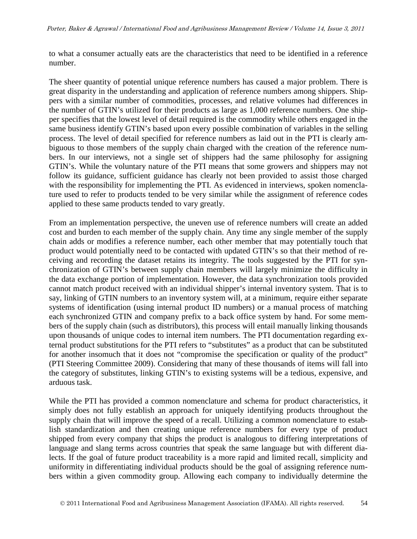to what a consumer actually eats are the characteristics that need to be identified in a reference number.

The sheer quantity of potential unique reference numbers has caused a major problem. There is great disparity in the understanding and application of reference numbers among shippers. Shippers with a similar number of commodities, processes, and relative volumes had differences in the number of GTIN's utilized for their products as large as 1,000 reference numbers. One shipper specifies that the lowest level of detail required is the commodity while others engaged in the same business identify GTIN's based upon every possible combination of variables in the selling process. The level of detail specified for reference numbers as laid out in the PTI is clearly ambiguous to those members of the supply chain charged with the creation of the reference numbers. In our interviews, not a single set of shippers had the same philosophy for assigning GTIN's. While the voluntary nature of the PTI means that some growers and shippers may not follow its guidance, sufficient guidance has clearly not been provided to assist those charged with the responsibility for implementing the PTI. As evidenced in interviews, spoken nomenclature used to refer to products tended to be very similar while the assignment of reference codes applied to these same products tended to vary greatly.

From an implementation perspective, the uneven use of reference numbers will create an added cost and burden to each member of the supply chain. Any time any single member of the supply chain adds or modifies a reference number, each other member that may potentially touch that product would potentially need to be contacted with updated GTIN's so that their method of receiving and recording the dataset retains its integrity. The tools suggested by the PTI for synchronization of GTIN's between supply chain members will largely minimize the difficulty in the data exchange portion of implementation. However, the data synchronization tools provided cannot match product received with an individual shipper's internal inventory system. That is to say, linking of GTIN numbers to an inventory system will, at a minimum, require either separate systems of identification (using internal product ID numbers) or a manual process of matching each synchronized GTIN and company prefix to a back office system by hand. For some members of the supply chain (such as distributors), this process will entail manually linking thousands upon thousands of unique codes to internal item numbers. The PTI documentation regarding external product substitutions for the PTI refers to "substitutes" as a product that can be substituted for another insomuch that it does not "compromise the specification or quality of the product" (PTI Steering Committee 2009). Considering that many of these thousands of items will fall into the category of substitutes, linking GTIN's to existing systems will be a tedious, expensive, and arduous task.

While the PTI has provided a common nomenclature and schema for product characteristics, it simply does not fully establish an approach for uniquely identifying products throughout the supply chain that will improve the speed of a recall. Utilizing a common nomenclature to establish standardization and then creating unique reference numbers for every type of product shipped from every company that ships the product is analogous to differing interpretations of language and slang terms across countries that speak the same language but with different dialects. If the goal of future product traceability is a more rapid and limited recall, simplicity and uniformity in differentiating individual products should be the goal of assigning reference numbers within a given commodity group. Allowing each company to individually determine the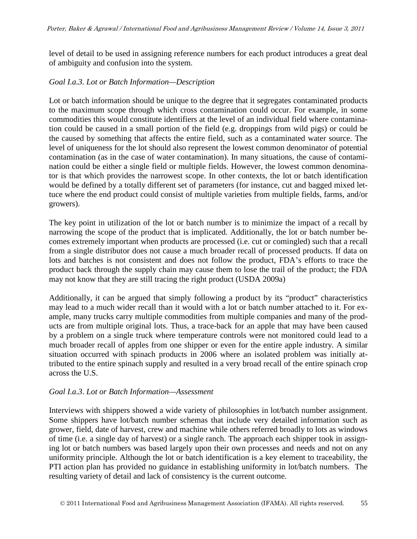level of detail to be used in assigning reference numbers for each product introduces a great deal of ambiguity and confusion into the system.

#### *Goal I.a.3. Lot or Batch Information—Description*

Lot or batch information should be unique to the degree that it segregates contaminated products to the maximum scope through which cross contamination could occur. For example, in some commodities this would constitute identifiers at the level of an individual field where contamination could be caused in a small portion of the field (e.g. droppings from wild pigs) or could be the caused by something that affects the entire field, such as a contaminated water source. The level of uniqueness for the lot should also represent the lowest common denominator of potential contamination (as in the case of water contamination). In many situations, the cause of contamination could be either a single field or multiple fields. However, the lowest common denominator is that which provides the narrowest scope. In other contexts, the lot or batch identification would be defined by a totally different set of parameters (for instance, cut and bagged mixed lettuce where the end product could consist of multiple varieties from multiple fields, farms, and/or growers).

The key point in utilization of the lot or batch number is to minimize the impact of a recall by narrowing the scope of the product that is implicated. Additionally, the lot or batch number becomes extremely important when products are processed (i.e. cut or comingled) such that a recall from a single distributor does not cause a much broader recall of processed products. If data on lots and batches is not consistent and does not follow the product, FDA's efforts to trace the product back through the supply chain may cause them to lose the trail of the product; the FDA may not know that they are still tracing the right product (USDA 2009a)

Additionally, it can be argued that simply following a product by its "product" characteristics may lead to a much wider recall than it would with a lot or batch number attached to it. For example, many trucks carry multiple commodities from multiple companies and many of the products are from multiple original lots. Thus, a trace-back for an apple that may have been caused by a problem on a single truck where temperature controls were not monitored could lead to a much broader recall of apples from one shipper or even for the entire apple industry. A similar situation occurred with spinach products in 2006 where an isolated problem was initially attributed to the entire spinach supply and resulted in a very broad recall of the entire spinach crop across the U.S.

#### *Goal I.a.3*. *Lot or Batch Information—Assessment*

Interviews with shippers showed a wide variety of philosophies in lot/batch number assignment. Some shippers have lot/batch number schemas that include very detailed information such as grower, field, date of harvest, crew and machine while others referred broadly to lots as windows of time (i.e. a single day of harvest) or a single ranch. The approach each shipper took in assigning lot or batch numbers was based largely upon their own processes and needs and not on any uniformity principle. Although the lot or batch identification is a key element to traceability, the PTI action plan has provided no guidance in establishing uniformity in lot/batch numbers. The resulting variety of detail and lack of consistency is the current outcome.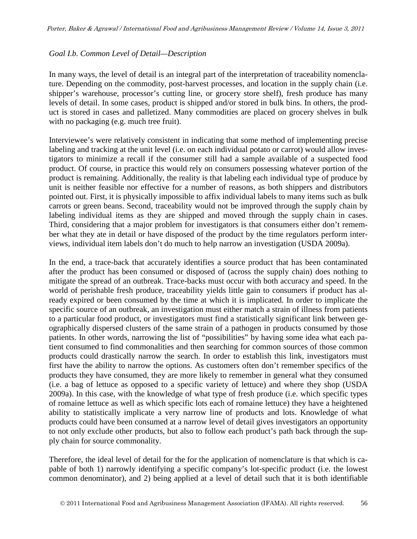#### *Goal I.b. Common Level of Detail—Description*

In many ways, the level of detail is an integral part of the interpretation of traceability nomenclature. Depending on the commodity, post-harvest processes, and location in the supply chain (i.e. shipper's warehouse, processor's cutting line, or grocery store shelf), fresh produce has many levels of detail. In some cases, product is shipped and/or stored in bulk bins. In others, the product is stored in cases and palletized. Many commodities are placed on grocery shelves in bulk with no packaging (e.g. much tree fruit).

Interviewee's were relatively consistent in indicating that some method of implementing precise labeling and tracking at the unit level (i.e. on each individual potato or carrot) would allow investigators to minimize a recall if the consumer still had a sample available of a suspected food product. Of course, in practice this would rely on consumers possessing whatever portion of the product is remaining. Additionally, the reality is that labeling each individual type of produce by unit is neither feasible nor effective for a number of reasons, as both shippers and distributors pointed out. First, it is physically impossible to affix individual labels to many items such as bulk carrots or green beans. Second, traceability would not be improved through the supply chain by labeling individual items as they are shipped and moved through the supply chain in cases. Third, considering that a major problem for investigators is that consumers either don't remember what they ate in detail or have disposed of the product by the time regulators perform interviews, individual item labels don't do much to help narrow an investigation (USDA 2009a).

In the end, a trace-back that accurately identifies a source product that has been contaminated after the product has been consumed or disposed of (across the supply chain) does nothing to mitigate the spread of an outbreak. Trace-backs must occur with both accuracy and speed. In the world of perishable fresh produce, traceability yields little gain to consumers if product has already expired or been consumed by the time at which it is implicated. In order to implicate the specific source of an outbreak, an investigation must either match a strain of illness from patients to a particular food product, or investigators must find a statistically significant link between geographically dispersed clusters of the same strain of a pathogen in products consumed by those patients. In other words, narrowing the list of "possibilities" by having some idea what each patient consumed to find commonalities and then searching for common sources of those common products could drastically narrow the search. In order to establish this link, investigators must first have the ability to narrow the options. As customers often don't remember specifics of the products they have consumed, they are more likely to remember in general what they consumed (i.e. a bag of lettuce as opposed to a specific variety of lettuce) and where they shop (USDA 2009a). In this case, with the knowledge of what type of fresh produce (i.e. which specific types of romaine lettuce as well as which specific lots each of romaine lettuce) they have a heightened ability to statistically implicate a very narrow line of products and lots. Knowledge of what products could have been consumed at a narrow level of detail gives investigators an opportunity to not only exclude other products, but also to follow each product's path back through the supply chain for source commonality.

Therefore, the ideal level of detail for the for the application of nomenclature is that which is capable of both 1) narrowly identifying a specific company's lot-specific product (i.e. the lowest common denominator), and 2) being applied at a level of detail such that it is both identifiable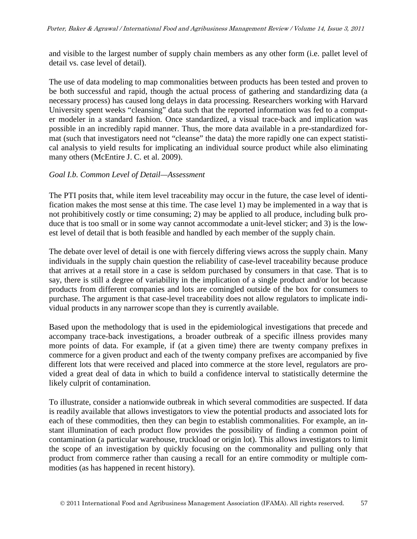and visible to the largest number of supply chain members as any other form (i.e. pallet level of detail vs. case level of detail).

The use of data modeling to map commonalities between products has been tested and proven to be both successful and rapid, though the actual process of gathering and standardizing data (a necessary process) has caused long delays in data processing. Researchers working with Harvard University spent weeks "cleansing" data such that the reported information was fed to a computer modeler in a standard fashion. Once standardized, a visual trace-back and implication was possible in an incredibly rapid manner. Thus, the more data available in a pre-standardized format (such that investigators need not "cleanse" the data) the more rapidly one can expect statistical analysis to yield results for implicating an individual source product while also eliminating many others (McEntire J. C. et al. 2009).

### *Goal I.b. Common Level of Detail—Assessment*

The PTI posits that, while item level traceability may occur in the future, the case level of identification makes the most sense at this time. The case level 1) may be implemented in a way that is not prohibitively costly or time consuming; 2) may be applied to all produce, including bulk produce that is too small or in some way cannot accommodate a unit-level sticker; and 3) is the lowest level of detail that is both feasible and handled by each member of the supply chain.

The debate over level of detail is one with fiercely differing views across the supply chain. Many individuals in the supply chain question the reliability of case-level traceability because produce that arrives at a retail store in a case is seldom purchased by consumers in that case. That is to say, there is still a degree of variability in the implication of a single product and/or lot because products from different companies and lots are comingled outside of the box for consumers to purchase. The argument is that case-level traceability does not allow regulators to implicate individual products in any narrower scope than they is currently available.

Based upon the methodology that is used in the epidemiological investigations that precede and accompany trace-back investigations, a broader outbreak of a specific illness provides many more points of data. For example, if (at a given time) there are twenty company prefixes in commerce for a given product and each of the twenty company prefixes are accompanied by five different lots that were received and placed into commerce at the store level, regulators are provided a great deal of data in which to build a confidence interval to statistically determine the likely culprit of contamination.

To illustrate, consider a nationwide outbreak in which several commodities are suspected. If data is readily available that allows investigators to view the potential products and associated lots for each of these commodities, then they can begin to establish commonalities. For example, an instant illumination of each product flow provides the possibility of finding a common point of contamination (a particular warehouse, truckload or origin lot). This allows investigators to limit the scope of an investigation by quickly focusing on the commonality and pulling only that product from commerce rather than causing a recall for an entire commodity or multiple commodities (as has happened in recent history).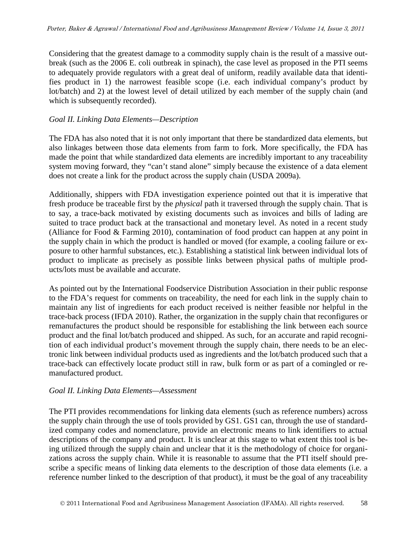Considering that the greatest damage to a commodity supply chain is the result of a massive outbreak (such as the 2006 E. coli outbreak in spinach), the case level as proposed in the PTI seems to adequately provide regulators with a great deal of uniform, readily available data that identifies product in 1) the narrowest feasible scope (i.e. each individual company's product by lot/batch) and 2) at the lowest level of detail utilized by each member of the supply chain (and which is subsequently recorded).

### *Goal II. Linking Data Elements—Description*

The FDA has also noted that it is not only important that there be standardized data elements, but also linkages between those data elements from farm to fork. More specifically, the FDA has made the point that while standardized data elements are incredibly important to any traceability system moving forward, they "can't stand alone" simply because the existence of a data element does not create a link for the product across the supply chain (USDA 2009a).

Additionally, shippers with FDA investigation experience pointed out that it is imperative that fresh produce be traceable first by the *physical* path it traversed through the supply chain. That is to say, a trace-back motivated by existing documents such as invoices and bills of lading are suited to trace product back at the transactional and monetary level. As noted in a recent study (Alliance for Food & Farming 2010), contamination of food product can happen at any point in the supply chain in which the product is handled or moved (for example, a cooling failure or exposure to other harmful substances, etc.). Establishing a statistical link between individual lots of product to implicate as precisely as possible links between physical paths of multiple products/lots must be available and accurate.

As pointed out by the International Foodservice Distribution Association in their public response to the FDA's request for comments on traceability, the need for each link in the supply chain to maintain any list of ingredients for each product received is neither feasible nor helpful in the trace-back process (IFDA 2010). Rather, the organization in the supply chain that reconfigures or remanufactures the product should be responsible for establishing the link between each source product and the final lot/batch produced and shipped. As such, for an accurate and rapid recognition of each individual product's movement through the supply chain, there needs to be an electronic link between individual products used as ingredients and the lot/batch produced such that a trace-back can effectively locate product still in raw, bulk form or as part of a comingled or remanufactured product.

#### *Goal II. Linking Data Elements—Assessment*

The PTI provides recommendations for linking data elements (such as reference numbers) across the supply chain through the use of tools provided by GS1. GS1 can, through the use of standardized company codes and nomenclature, provide an electronic means to link identifiers to actual descriptions of the company and product. It is unclear at this stage to what extent this tool is being utilized through the supply chain and unclear that it is the methodology of choice for organizations across the supply chain. While it is reasonable to assume that the PTI itself should prescribe a specific means of linking data elements to the description of those data elements (i.e. a reference number linked to the description of that product), it must be the goal of any traceability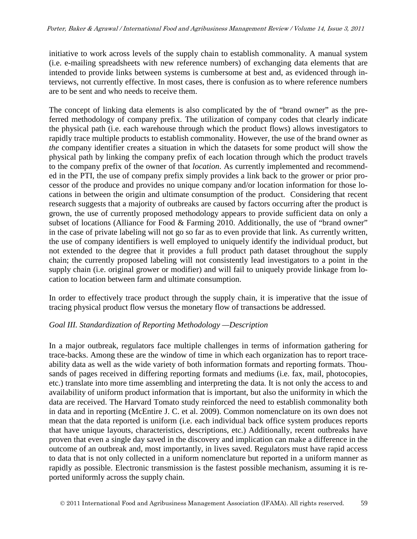initiative to work across levels of the supply chain to establish commonality. A manual system (i.e. e-mailing spreadsheets with new reference numbers) of exchanging data elements that are intended to provide links between systems is cumbersome at best and, as evidenced through interviews, not currently effective. In most cases, there is confusion as to where reference numbers are to be sent and who needs to receive them.

The concept of linking data elements is also complicated by the of "brand owner" as the preferred methodology of company prefix. The utilization of company codes that clearly indicate the physical path (i.e. each warehouse through which the product flows) allows investigators to rapidly trace multiple products to establish commonality. However, the use of the brand owner as *the* company identifier creates a situation in which the datasets for some product will show the physical path by linking the company prefix of each location through which the product travels to the company prefix of the owner of that *location*. As currently implemented and recommended in the PTI, the use of company prefix simply provides a link back to the grower or prior processor of the produce and provides no unique company and/or location information for those locations in between the origin and ultimate consumption of the product. Considering that recent research suggests that a majority of outbreaks are caused by factors occurring after the product is grown, the use of currently proposed methodology appears to provide sufficient data on only a subset of locations (Alliance for Food & Farming 2010. Additionally, the use of "brand owner" in the case of private labeling will not go so far as to even provide that link. As currently written, the use of company identifiers is well employed to uniquely identify the individual product, but not extended to the degree that it provides a full product path dataset throughout the supply chain; the currently proposed labeling will not consistently lead investigators to a point in the supply chain (i.e. original grower or modifier) and will fail to uniquely provide linkage from location to location between farm and ultimate consumption.

In order to effectively trace product through the supply chain, it is imperative that the issue of tracing physical product flow versus the monetary flow of transactions be addressed.

## *Goal III. Standardization of Reporting Methodology —Description*

In a major outbreak, regulators face multiple challenges in terms of information gathering for trace-backs. Among these are the window of time in which each organization has to report traceability data as well as the wide variety of both information formats and reporting formats. Thousands of pages received in differing reporting formats and mediums (i.e. fax, mail, photocopies, etc.) translate into more time assembling and interpreting the data. It is not only the access to and availability of uniform product information that is important, but also the uniformity in which the data are received. The Harvard Tomato study reinforced the need to establish commonality both in data and in reporting (McEntire J. C. et al. 2009). Common nomenclature on its own does not mean that the data reported is uniform (i.e. each individual back office system produces reports that have unique layouts, characteristics, descriptions, etc.) Additionally, recent outbreaks have proven that even a single day saved in the discovery and implication can make a difference in the outcome of an outbreak and, most importantly, in lives saved. Regulators must have rapid access to data that is not only collected in a uniform nomenclature but reported in a uniform manner as rapidly as possible. Electronic transmission is the fastest possible mechanism, assuming it is reported uniformly across the supply chain.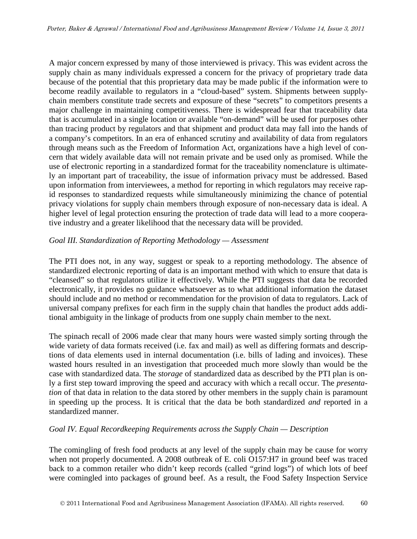A major concern expressed by many of those interviewed is privacy. This was evident across the supply chain as many individuals expressed a concern for the privacy of proprietary trade data because of the potential that this proprietary data may be made public if the information were to become readily available to regulators in a "cloud-based" system. Shipments between supplychain members constitute trade secrets and exposure of these "secrets" to competitors presents a major challenge in maintaining competitiveness. There is widespread fear that traceability data that is accumulated in a single location or available "on-demand" will be used for purposes other than tracing product by regulators and that shipment and product data may fall into the hands of a company's competitors. In an era of enhanced scrutiny and availability of data from regulators through means such as the Freedom of Information Act, organizations have a high level of concern that widely available data will not remain private and be used only as promised. While the use of electronic reporting in a standardized format for the traceability nomenclature is ultimately an important part of traceability, the issue of information privacy must be addressed. Based upon information from interviewees, a method for reporting in which regulators may receive rapid responses to standardized requests while simultaneously minimizing the chance of potential privacy violations for supply chain members through exposure of non-necessary data is ideal. A higher level of legal protection ensuring the protection of trade data will lead to a more cooperative industry and a greater likelihood that the necessary data will be provided.

#### *Goal III. Standardization of Reporting Methodology — Assessment*

The PTI does not, in any way, suggest or speak to a reporting methodology. The absence of standardized electronic reporting of data is an important method with which to ensure that data is "cleansed" so that regulators utilize it effectively. While the PTI suggests that data be recorded electronically, it provides no guidance whatsoever as to what additional information the dataset should include and no method or recommendation for the provision of data to regulators. Lack of universal company prefixes for each firm in the supply chain that handles the product adds additional ambiguity in the linkage of products from one supply chain member to the next.

The spinach recall of 2006 made clear that many hours were wasted simply sorting through the wide variety of data formats received (i.e. fax and mail) as well as differing formats and descriptions of data elements used in internal documentation (i.e. bills of lading and invoices). These wasted hours resulted in an investigation that proceeded much more slowly than would be the case with standardized data. The *storage* of standardized data as described by the PTI plan is only a first step toward improving the speed and accuracy with which a recall occur. The *presentation* of that data in relation to the data stored by other members in the supply chain is paramount in speeding up the process. It is critical that the data be both standardized *and* reported in a standardized manner.

#### *Goal IV. Equal Recordkeeping Requirements across the Supply Chain — Description*

The comingling of fresh food products at any level of the supply chain may be cause for worry when not properly documented. A 2008 outbreak of E. coli O157:H7 in ground beef was traced back to a common retailer who didn't keep records (called "grind logs") of which lots of beef were comingled into packages of ground beef. As a result, the Food Safety Inspection Service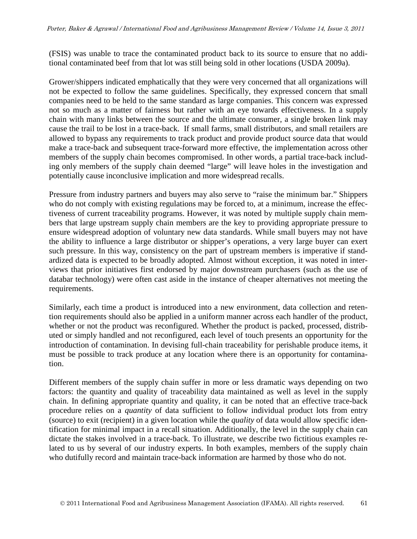(FSIS) was unable to trace the contaminated product back to its source to ensure that no additional contaminated beef from that lot was still being sold in other locations (USDA 2009a).

Grower/shippers indicated emphatically that they were very concerned that all organizations will not be expected to follow the same guidelines. Specifically, they expressed concern that small companies need to be held to the same standard as large companies. This concern was expressed not so much as a matter of fairness but rather with an eye towards effectiveness. In a supply chain with many links between the source and the ultimate consumer, a single broken link may cause the trail to be lost in a trace-back. If small farms, small distributors, and small retailers are allowed to bypass any requirements to track product and provide product source data that would make a trace-back and subsequent trace-forward more effective, the implementation across other members of the supply chain becomes compromised. In other words, a partial trace-back including only members of the supply chain deemed "large" will leave holes in the investigation and potentially cause inconclusive implication and more widespread recalls.

Pressure from industry partners and buyers may also serve to "raise the minimum bar." Shippers who do not comply with existing regulations may be forced to, at a minimum, increase the effectiveness of current traceability programs. However, it was noted by multiple supply chain members that large upstream supply chain members are the key to providing appropriate pressure to ensure widespread adoption of voluntary new data standards. While small buyers may not have the ability to influence a large distributor or shipper's operations, a very large buyer can exert such pressure. In this way, consistency on the part of upstream members is imperative if standardized data is expected to be broadly adopted. Almost without exception, it was noted in interviews that prior initiatives first endorsed by major downstream purchasers (such as the use of databar technology) were often cast aside in the instance of cheaper alternatives not meeting the requirements.

Similarly, each time a product is introduced into a new environment, data collection and retention requirements should also be applied in a uniform manner across each handler of the product, whether or not the product was reconfigured. Whether the product is packed, processed, distributed or simply handled and not reconfigured, each level of touch presents an opportunity for the introduction of contamination. In devising full-chain traceability for perishable produce items, it must be possible to track produce at any location where there is an opportunity for contamination.

Different members of the supply chain suffer in more or less dramatic ways depending on two factors: the quantity and quality of traceability data maintained as well as level in the supply chain. In defining appropriate quantity and quality, it can be noted that an effective trace-back procedure relies on a *quantity* of data sufficient to follow individual product lots from entry (source) to exit (recipient) in a given location while the *quality* of data would allow specific identification for minimal impact in a recall situation. Additionally, the level in the supply chain can dictate the stakes involved in a trace-back. To illustrate, we describe two fictitious examples related to us by several of our industry experts. In both examples, members of the supply chain who dutifully record and maintain trace-back information are harmed by those who do not.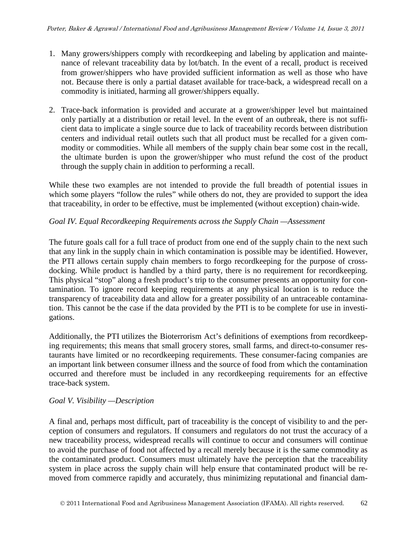- 1. Many growers/shippers comply with recordkeeping and labeling by application and maintenance of relevant traceability data by lot/batch. In the event of a recall, product is received from grower/shippers who have provided sufficient information as well as those who have not. Because there is only a partial dataset available for trace-back, a widespread recall on a commodity is initiated, harming all grower/shippers equally.
- 2. Trace-back information is provided and accurate at a grower/shipper level but maintained only partially at a distribution or retail level. In the event of an outbreak, there is not sufficient data to implicate a single source due to lack of traceability records between distribution centers and individual retail outlets such that all product must be recalled for a given commodity or commodities. While all members of the supply chain bear some cost in the recall, the ultimate burden is upon the grower/shipper who must refund the cost of the product through the supply chain in addition to performing a recall.

While these two examples are not intended to provide the full breadth of potential issues in which some players "follow the rules" while others do not, they are provided to support the idea that traceability, in order to be effective, must be implemented (without exception) chain-wide.

## *Goal IV. Equal Recordkeeping Requirements across the Supply Chain —Assessment*

The future goals call for a full trace of product from one end of the supply chain to the next such that any link in the supply chain in which contamination is possible may be identified. However, the PTI allows certain supply chain members to forgo recordkeeping for the purpose of crossdocking. While product is handled by a third party, there is no requirement for recordkeeping. This physical "stop" along a fresh product's trip to the consumer presents an opportunity for contamination. To ignore record keeping requirements at any physical location is to reduce the transparency of traceability data and allow for a greater possibility of an untraceable contamination. This cannot be the case if the data provided by the PTI is to be complete for use in investigations.

Additionally, the PTI utilizes the Bioterrorism Act's definitions of exemptions from recordkeeping requirements; this means that small grocery stores, small farms, and direct-to-consumer restaurants have limited or no recordkeeping requirements. These consumer-facing companies are an important link between consumer illness and the source of food from which the contamination occurred and therefore must be included in any recordkeeping requirements for an effective trace-back system.

## *Goal V. Visibility —Description*

A final and, perhaps most difficult, part of traceability is the concept of visibility to and the perception of consumers and regulators. If consumers and regulators do not trust the accuracy of a new traceability process, widespread recalls will continue to occur and consumers will continue to avoid the purchase of food not affected by a recall merely because it is the same commodity as the contaminated product. Consumers must ultimately have the perception that the traceability system in place across the supply chain will help ensure that contaminated product will be removed from commerce rapidly and accurately, thus minimizing reputational and financial dam-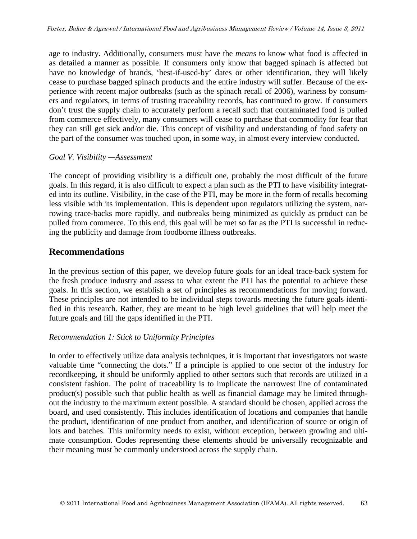age to industry. Additionally, consumers must have the *means* to know what food is affected in as detailed a manner as possible. If consumers only know that bagged spinach is affected but have no knowledge of brands, 'best-if-used-by' dates or other identification, they will likely cease to purchase bagged spinach products and the entire industry will suffer. Because of the experience with recent major outbreaks (such as the spinach recall of 2006), wariness by consumers and regulators, in terms of trusting traceability records, has continued to grow. If consumers don't trust the supply chain to accurately perform a recall such that contaminated food is pulled from commerce effectively, many consumers will cease to purchase that commodity for fear that they can still get sick and/or die. This concept of visibility and understanding of food safety on the part of the consumer was touched upon, in some way, in almost every interview conducted.

### *Goal V. Visibility —Assessment*

The concept of providing visibility is a difficult one, probably the most difficult of the future goals. In this regard, it is also difficult to expect a plan such as the PTI to have visibility integrated into its outline. Visibility, in the case of the PTI, may be more in the form of recalls becoming less visible with its implementation. This is dependent upon regulators utilizing the system, narrowing trace-backs more rapidly, and outbreaks being minimized as quickly as product can be pulled from commerce. To this end, this goal will be met so far as the PTI is successful in reducing the publicity and damage from foodborne illness outbreaks.

## **Recommendations**

In the previous section of this paper, we develop future goals for an ideal trace-back system for the fresh produce industry and assess to what extent the PTI has the potential to achieve these goals. In this section, we establish a set of principles as recommendations for moving forward. These principles are not intended to be individual steps towards meeting the future goals identified in this research. Rather, they are meant to be high level guidelines that will help meet the future goals and fill the gaps identified in the PTI.

## *Recommendation 1: Stick to Uniformity Principles*

In order to effectively utilize data analysis techniques, it is important that investigators not waste valuable time "connecting the dots." If a principle is applied to one sector of the industry for recordkeeping, it should be uniformly applied to other sectors such that records are utilized in a consistent fashion. The point of traceability is to implicate the narrowest line of contaminated product(s) possible such that public health as well as financial damage may be limited throughout the industry to the maximum extent possible. A standard should be chosen, applied across the board, and used consistently. This includes identification of locations and companies that handle the product, identification of one product from another, and identification of source or origin of lots and batches. This uniformity needs to exist, without exception, between growing and ultimate consumption. Codes representing these elements should be universally recognizable and their meaning must be commonly understood across the supply chain.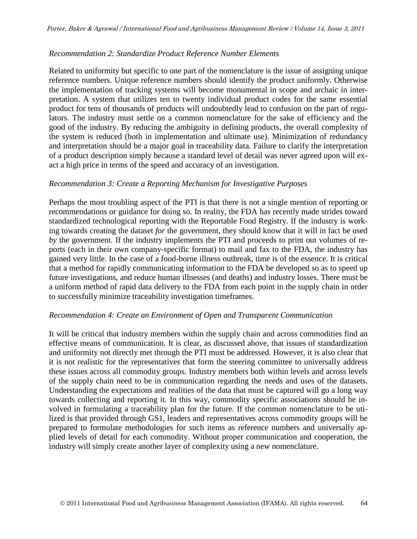#### *Recommendation 2: Standardize Product Reference Number Elements*

Related to uniformity but specific to one part of the nomenclature is the issue of assigning unique reference numbers. Unique reference numbers should identify the product uniformly. Otherwise the implementation of tracking systems will become monumental in scope and archaic in interpretation. A system that utilizes ten to twenty individual product codes for the same essential product for tens of thousands of products will undoubtedly lead to confusion on the part of regulators. The industry must settle on a common nomenclature for the sake of efficiency and the good of the industry. By reducing the ambiguity in defining products, the overall complexity of the system is reduced (both in implementation and ultimate use). Minimization of redundancy and interpretation should be a major goal in traceability data. Failure to clarify the interpretation of a product description simply because a standard level of detail was never agreed upon will exact a high price in terms of the speed and accuracy of an investigation.

#### *Recommendation 3: Create a Reporting Mechanism for Investigative Purposes*

Perhaps the most troubling aspect of the PTI is that there is not a single mention of reporting or recommendations or guidance for doing so. In reality, the FDA has recently made strides toward standardized technological reporting with the Reportable Food Registry. If the industry is working towards creating the dataset *for* the government, they should know that it will in fact be used *by* the government. If the industry implements the PTI and proceeds to print out volumes of reports (each in their own company-specific format) to mail and fax to the FDA, the industry has gained very little. In the case of a food-borne illness outbreak, time is of the essence. It is critical that a method for rapidly communicating information to the FDA be developed so as to speed up future investigations, and reduce human illnesses (and deaths) and industry losses. There must be a uniform method of rapid data delivery to the FDA from each point in the supply chain in order to successfully minimize traceability investigation timeframes.

#### *Recommendation 4: Create an Environment of Open and Transparent Communication*

It will be critical that industry members within the supply chain and across commodities find an effective means of communication. It is clear, as discussed above, that issues of standardization and uniformity not directly met through the PTI must be addressed. However, it is also clear that it is not realistic for the representatives that form the steering committee to universally address these issues across all commodity groups. Industry members both within levels and across levels of the supply chain need to be in communication regarding the needs and uses of the datasets. Understanding the expectations and realities of the data that must be captured will go a long way towards collecting and reporting it. In this way, commodity specific associations should be involved in formulating a traceability plan for the future. If the common nomenclature to be utilized is that provided through GS1, leaders and representatives across commodity groups will be prepared to formulate methodologies for such items as reference numbers and universally applied levels of detail for each commodity. Without proper communication and cooperation, the industry will simply create another layer of complexity using a new nomenclature.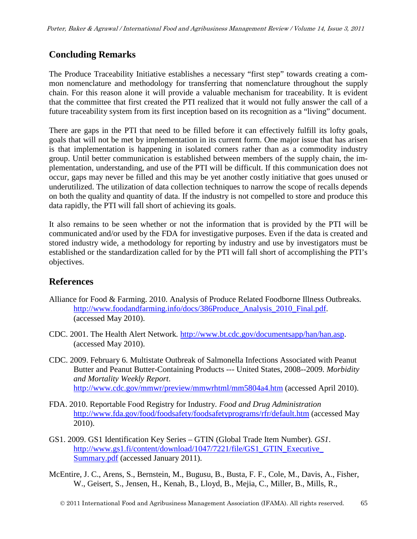## **Concluding Remarks**

The Produce Traceability Initiative establishes a necessary "first step" towards creating a common nomenclature and methodology for transferring that nomenclature throughout the supply chain. For this reason alone it will provide a valuable mechanism for traceability. It is evident that the committee that first created the PTI realized that it would not fully answer the call of a future traceability system from its first inception based on its recognition as a "living" document.

There are gaps in the PTI that need to be filled before it can effectively fulfill its lofty goals, goals that will not be met by implementation in its current form. One major issue that has arisen is that implementation is happening in isolated corners rather than as a commodity industry group. Until better communication is established between members of the supply chain, the implementation, understanding, and use of the PTI will be difficult. If this communication does not occur, gaps may never be filled and this may be yet another costly initiative that goes unused or underutilized. The utilization of data collection techniques to narrow the scope of recalls depends on both the quality and quantity of data. If the industry is not compelled to store and produce this data rapidly, the PTI will fall short of achieving its goals.

It also remains to be seen whether or not the information that is provided by the PTI will be communicated and/or used by the FDA for investigative purposes. Even if the data is created and stored industry wide, a methodology for reporting by industry and use by investigators must be established or the standardization called for by the PTI will fall short of accomplishing the PTI's objectives.

## **References**

- Alliance for Food & Farming. 2010. Analysis of Produce Related Foodborne Illness Outbreaks*.* [http://www.foodandfarming.info/docs/386Produce\\_Analysis\\_2010\\_Final.pdf.](http://www.foodandfarming.info/docs/386Produce_Analysis_2010_Final.pdf) (accessed May 2010).
- CDC. 2001. The Health Alert Network*.* [http://www.bt.cdc.gov/documentsapp/han/han.asp.](http://www.bt.cdc.gov/documentsapp/han/han.asp) (accessed May 2010).
- CDC. 2009. February 6. Multistate Outbreak of Salmonella Infections Associated with Peanut Butter and Peanut Butter-Containing Products --- United States, 2008--2009*. Morbidity and Mortality Weekly Report*. <http://www.cdc.gov/mmwr/preview/mmwrhtml/mm5804a4.htm> (accessed April 2010).
- FDA. 2010. Reportable Food Registry for Industry*. Food and Drug Administration* <http://www.fda.gov/food/foodsafety/foodsafetyprograms/rfr/default.htm> (accessed May 2010).
- GS1. 2009. GS1 Identification Key Series GTIN (Global Trade Item Number)*. GS1*. [http://www.gs1.fi/content/download/1047/7221/file/GS1\\_GTIN\\_Executive\\_](http://www.gs1.fi/content/download/1047/7221/file/GS1_GTIN_Executive_%0bSummary.pdf) [Summary.pdf](http://www.gs1.fi/content/download/1047/7221/file/GS1_GTIN_Executive_%0bSummary.pdf) (accessed January 2011).
- McEntire, J. C., Arens, S., Bernstein, M., Bugusu, B., Busta, F. F., Cole, M., Davis, A., Fisher, W., Geisert, S., Jensen, H., Kenah, B., Lloyd, B., Mejia, C., Miller, B., Mills, R.,